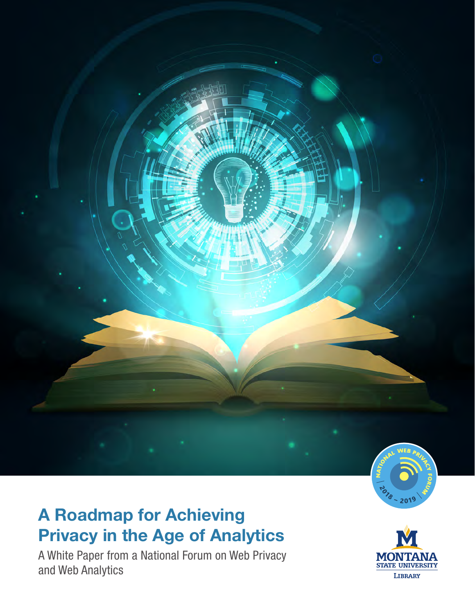<span id="page-0-0"></span>

# A Roadmap for Achieving Privacy in the Age of Analytics

A White Paper from a National Forum on Web Privacy and Web Analytics

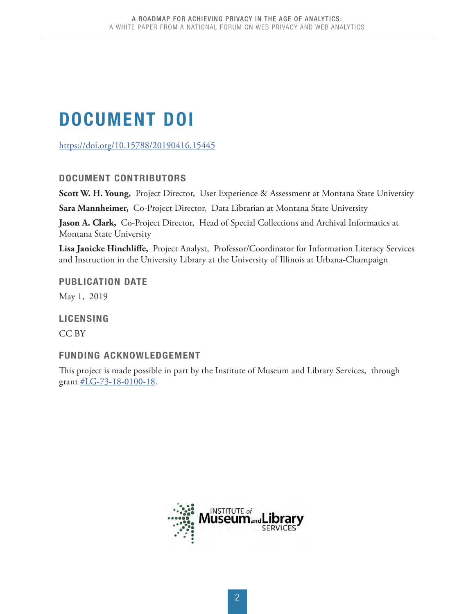# <span id="page-1-0"></span>DOCUMENT DOI

<https://doi.org/10.15788/20190416.15445>

#### DOCUMENT CONTRIBUTORS

**Scott W. H. Young,** Project Director, User Experience & Assessment at Montana State University

**Sara Mannheimer,** Co-Project Director, Data Librarian at Montana State University

**Jason A. Clark,** Co-Project Director, Head of Special Collections and Archival Informatics at Montana State University

**Lisa Janicke Hinchliffe,** Project Analyst, Professor/Coordinator for Information Literacy Services and Instruction in the University Library at the University of Illinois at Urbana-Champaign

PUBLICATION DATE

May 1, 2019

LICENSING

CC BY

### FUNDING ACKNOWLEDGEMENT

This project is made possible in part by the Institute of Museum and Library Services, through grant [#LG-73-18-0100-18](https://www.imls.gov/grants/awarded/lg-73-18-0100-18).

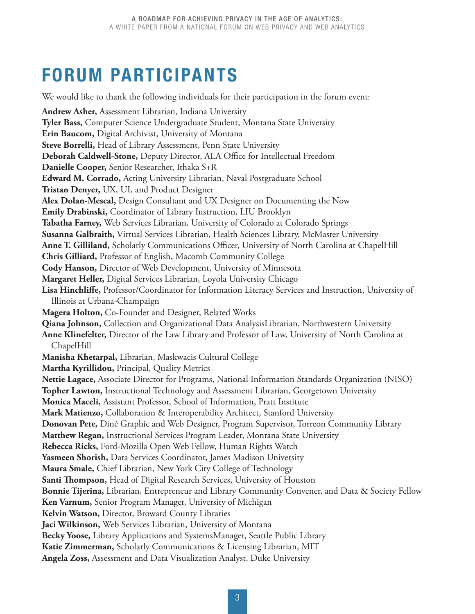We would like to thank the following individuals for their participation in the forum event:

# <span id="page-2-0"></span>FORUM PARTICIPANTS

**Andrew Asher,** Assessment Librarian, Indiana University **Tyler Bass,** Computer Science Undergraduate Student, Montana State University **Erin Baucom,** Digital Archivist, University of Montana **Steve Borrelli,** Head of Library Assessment, Penn State University **Deborah Caldwell-Stone,** Deputy Director, ALA Office for Intellectual Freedom **Danielle Cooper,** Senior Researcher, Ithaka S+R **Edward M. Corrado,** Acting University Librarian, Naval Postgraduate School **Tristan Denyer,** UX, UI, and Product Designer **Alex Dolan-Mescal,** Design Consultant and UX Designer on Documenting the Now **Emily Drabinski,** Coordinator of Library Instruction, LIU Brooklyn **Tabatha Farney,** Web Services Librarian, University of Colorado at Colorado Springs **Susanna Galbraith,** Virtual Services Librarian, Health Sciences Library, McMaster University **Anne T. Gilliland,** Scholarly Communications Officer, University of North Carolina at ChapelHill **Chris Gilliard,** Professor of English, Macomb Community College **Cody Hanson,** Director of Web Development, University of Minnesota **Margaret Heller,** Digital Services Librarian, Loyola University Chicago **Lisa Hinchliffe,** Professor/Coordinator for Information Literacy Services and Instruction, University of Illinois at Urbana-Champaign **Magera Holton,** Co-Founder and Designer, Related Works **Qiana Johnson,** Collection and Organizational Data AnalysisLibrarian, Northwestern University **Anne Klinefelter,** Director of the Law Library and Professor of Law, University of North Carolina at ChapelHill **Manisha Khetarpal,** Librarian, Maskwacis Cultural College **Martha Kyrillidou,** Principal, Quality Metrics **Nettie Lagace,** Associate Director for Programs, National Information Standards Organization (NISO) **Topher Lawton,** Instructional Technology and Assessment Librarian, Georgetown University **Monica Maceli,** Assistant Professor, School of Information, Pratt Institute **Mark Matienzo,** Collaboration & Interoperability Architect, Stanford University **Donovan Pete,** Diné Graphic and Web Designer, Program Supervisor, Torreon Community Library **Matthew Regan,** Instructional Services Program Leader, Montana State University **Rebecca Ricks,** Ford-Mozilla Open Web Fellow, Human Rights Watch **Yasmeen Shorish,** Data Services Coordinator, James Madison University **Maura Smale,** Chief Librarian, New York City College of Technology **Santi Thompson,** Head of Digital Research Services, University of Houston **Bonnie Tijerina,** Librarian, Entrepreneur and Library Community Convener, and Data & Society Fellow **Ken Varnum,** Senior Program Manager, University of Michigan **Kelvin Watson,** Director, Broward County Libraries **Jaci Wilkinson,** Web Services Librarian, University of Montana **Becky Yoose,** Library Applications and SystemsManager, Seattle Public Library **Katie Zimmerman,** Scholarly Communications & Licensing Librarian, MIT **Angela Zoss,** Assessment and Data Visualization Analyst, Duke University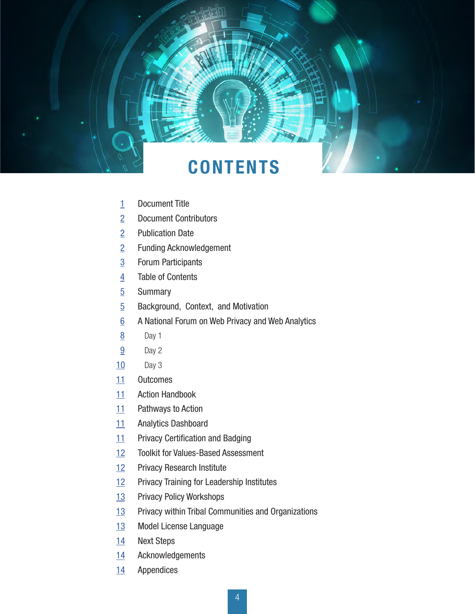# **CONTENTS**

A ROADMAP FOR ACHIEVING PRIVACY IN THE AGE OF ACHIEVING PRIVACY IN THE AGE OF ALL THE AGE OF AN A WHITE PAPER FROM A NATIONAL FORUM ON WEB PRIVACY AND WEB ANALYTICS

- Document Title
- Document Contributors
- Publication Date
- Funding Acknowledgement
- Forum Participants
- Table of Contents
- Summary
- Background, Context, and Motivation
- A National Forum on Web Privacy and Web Analytics
- Day 1
- Day 2
- Day 3
- Outcomes
- Action Handbook
- Pathways to Action
- Analytics Dashboard
- Privacy Certification and Badging
- Toolkit for Values-Based Assessment
- Privacy Research Institute
- Privacy Training for Leadership Institutes
- Privacy Policy Workshops
- Privacy within Tribal Communities and Organizations
- Model License Language
- Next Steps
- Acknowledgements
- Appendices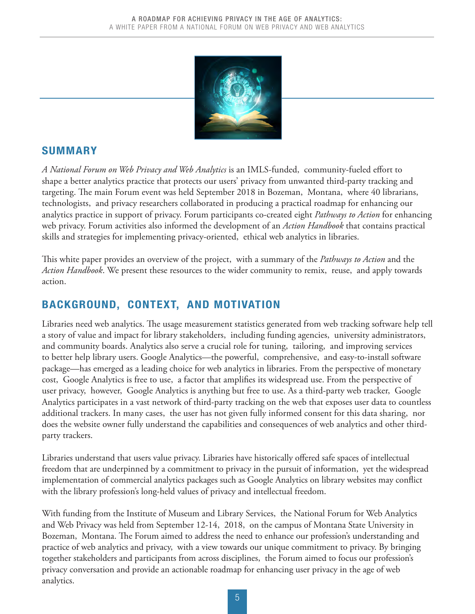

# <span id="page-4-0"></span>SUMMARY

*A National Forum on Web Privacy and Web Analytics* is an IMLS-funded, community-fueled effort to shape a better analytics practice that protects our users' privacy from unwanted third-party tracking and targeting. The main Forum event was held September 2018 in Bozeman, Montana, where 40 librarians, technologists, and privacy researchers collaborated in producing a practical roadmap for enhancing our analytics practice in support of privacy. Forum participants co-created eight *Pathways to Action* for enhancing web privacy. Forum activities also informed the development of an *Action Handbook* that contains practical skills and strategies for implementing privacy-oriented, ethical web analytics in libraries.

This white paper provides an overview of the project, with a summary of the *Pathways to Action* and the *Action Handbook*. We present these resources to the wider community to remix, reuse, and apply towards action.

# BACKGROUND, CONTEXT, AND MOTIVATION

Libraries need web analytics. The usage measurement statistics generated from web tracking software help tell a story of value and impact for library stakeholders, including funding agencies, university administrators, and community boards. Analytics also serve a crucial role for tuning, tailoring, and improving services to better help library users. Google Analytics—the powerful, comprehensive, and easy-to-install software package—has emerged as a leading choice for web analytics in libraries. From the perspective of monetary cost, Google Analytics is free to use, a factor that amplifies its widespread use. From the perspective of user privacy, however, Google Analytics is anything but free to use. As a third-party web tracker, Google Analytics participates in a vast network of third-party tracking on the web that exposes user data to countless additional trackers. In many cases, the user has not given fully informed consent for this data sharing, nor does the website owner fully understand the capabilities and consequences of web analytics and other thirdparty trackers.

Libraries understand that users value privacy. Libraries have historically offered safe spaces of intellectual freedom that are underpinned by a commitment to privacy in the pursuit of information, yet the widespread implementation of commercial analytics packages such as Google Analytics on library websites may conflict with the library profession's long-held values of privacy and intellectual freedom.

With funding from the Institute of Museum and Library Services, the National Forum for Web Analytics and Web Privacy was held from September 12-14, 2018, on the campus of Montana State University in Bozeman, Montana. The Forum aimed to address the need to enhance our profession's understanding and practice of web analytics and privacy, with a view towards our unique commitment to privacy. By bringing together stakeholders and participants from across disciplines, the Forum aimed to focus our profession's privacy conversation and provide an actionable roadmap for enhancing user privacy in the age of web analytics.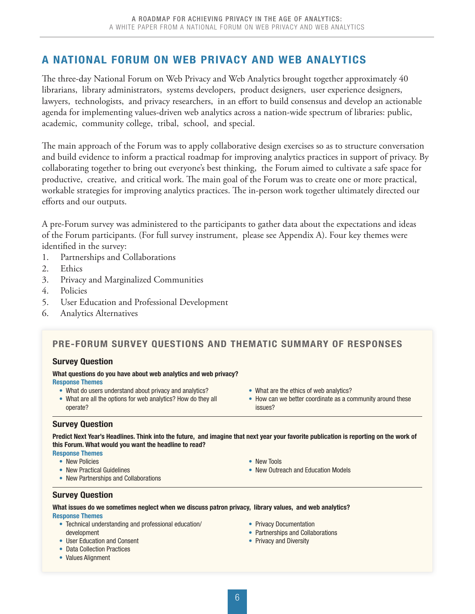# <span id="page-5-0"></span>A NATIONAL FORUM ON WEB PRIVACY AND WEB ANALYTICS

The three-day National Forum on Web Privacy and Web Analytics brought together approximately 40 librarians, library administrators, systems developers, product designers, user experience designers, lawyers, technologists, and privacy researchers, in an effort to build consensus and develop an actionable agenda for implementing values-driven web analytics across a nation-wide spectrum of libraries: public, academic, community college, tribal, school, and special.

The main approach of the Forum was to apply collaborative design exercises so as to structure conversation and build evidence to inform a practical roadmap for improving analytics practices in support of privacy. By collaborating together to bring out everyone's best thinking, the Forum aimed to cultivate a safe space for productive, creative, and critical work. The main goal of the Forum was to create one or more practical, workable strategies for improving analytics practices. The in-person work together ultimately directed our efforts and our outputs.

A pre-Forum survey was administered to the participants to gather data about the expectations and ideas of the Forum participants. (For full survey instrument, please see Appendix A). Four key themes were identified in the survey:

- 1. Partnerships and Collaborations
- 2. Ethics
- 3. Privacy and Marginalized Communities
- 4. Policies
- 5. User Education and Professional Development
- 6. Analytics Alternatives

#### PRE-FORUM SURVEY QUESTIONS AND THEMATIC SUMMARY OF RESPONSES

#### Survey Question

What questions do you have about web analytics and web privacy? Response Themes

- What do users understand about privacy and analytics?
- What are all the options for web analytics? How do they all operate?
- What are the ethics of web analytics?
- How can we better coordinate as a community around these issues?

#### Survey Question

Predict Next Year's Headlines. Think into the future, and imagine that next year your favorite publication is reporting on the work of this Forum. What would you want the headline to read?

#### Response Themes

- New Policies
- New Practical Guidelines
- New Partnerships and Collaborations

#### Survey Question

What issues do we sometimes neglect when we discuss patron privacy, library values, and web analytics? Response Themes

- Technical understanding and professional education/ development
- User Education and Consent
- Data Collection Practices
- Values Alignment
- New Tools
- New Outreach and Education Models
- Partnerships and Collaborations • Privacy and Diversity

• Privacy Documentation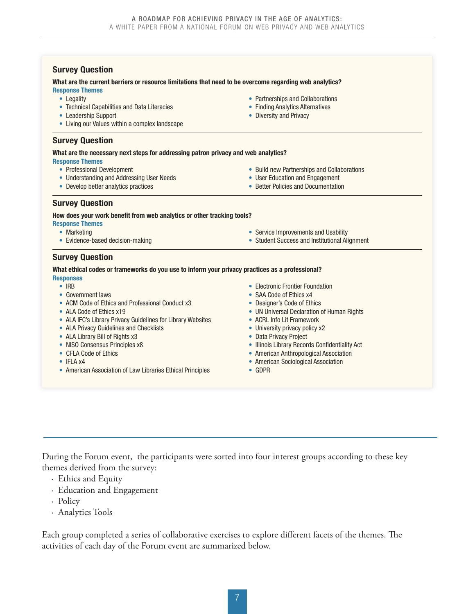| <b>Survey Question</b>                                                                                  |                                                |
|---------------------------------------------------------------------------------------------------------|------------------------------------------------|
| What are the current barriers or resource limitations that need to be overcome regarding web analytics? |                                                |
| <b>Response Themes</b>                                                                                  |                                                |
| • Legality                                                                                              | • Partnerships and Collaborations              |
| • Technical Capabilities and Data Literacies                                                            | • Finding Analytics Alternatives               |
| • Leadership Support                                                                                    | • Diversity and Privacy                        |
| • Living our Values within a complex landscape                                                          |                                                |
| <b>Survey Question</b>                                                                                  |                                                |
| What are the necessary next steps for addressing patron privacy and web analytics?                      |                                                |
| <b>Response Themes</b>                                                                                  |                                                |
| • Professional Development                                                                              | • Build new Partnerships and Collaborations    |
| • Understanding and Addressing User Needs                                                               | • User Education and Engagement                |
| • Develop better analytics practices                                                                    | • Better Policies and Documentation            |
| <b>Survey Question</b>                                                                                  |                                                |
| How does your work benefit from web analytics or other tracking tools?                                  |                                                |
| <b>Response Themes</b>                                                                                  |                                                |
| • Marketing                                                                                             | • Service Improvements and Usability           |
| • Evidence-based decision-making                                                                        | • Student Success and Institutional Alignment  |
| <b>Survey Question</b>                                                                                  |                                                |
| What ethical codes or frameworks do you use to inform your privacy practices as a professional?         |                                                |
| <b>Responses</b>                                                                                        |                                                |
| $\bullet$ IRB                                                                                           | • Electronic Frontier Foundation               |
| • Government laws                                                                                       | • SAA Code of Ethics x4                        |
| • ACM Code of Ethics and Professional Conduct x3                                                        | • Designer's Code of Ethics                    |
| • ALA Code of Ethics x19                                                                                | • UN Universal Declaration of Human Rights     |
| • ALA IFC's Library Privacy Guidelines for Library Websites                                             | • ACRL Info Lit Framework                      |
| • ALA Privacy Guidelines and Checklists                                                                 | • University privacy policy x2                 |
| • ALA Library Bill of Rights x3                                                                         | • Data Privacy Project                         |
| • NISO Consensus Principles x8                                                                          | • Illinois Library Records Confidentiality Act |
| • CFLA Code of Ethics                                                                                   | • American Anthropological Association         |

- IFLA x4
- American Association of Law Libraries Ethical Principles
- American Anthropological Association
- American Sociological Association
- GDPR

During the Forum event, the participants were sorted into four interest groups according to these key themes derived from the survey:

- · Ethics and Equity
- · Education and Engagement
- · Policy
- · Analytics Tools

Each group completed a series of collaborative exercises to explore different facets of the themes. The activities of each day of the Forum event are summarized below.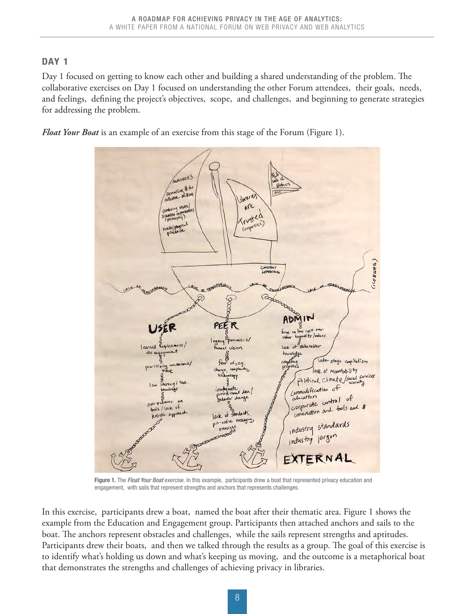### <span id="page-7-0"></span>DAY<sub>1</sub>

Day 1 focused on getting to know each other and building a shared understanding of the problem. The collaborative exercises on Day 1 focused on understanding the other Forum attendees, their goals, needs, and feelings, defining the project's objectives, scope, and challenges, and beginning to generate strategies for addressing the problem.

*Float Your Boat* is an example of an exercise from this stage of the Forum (Figure 1).



Figure 1. The *Float Your Boat* exercise. In this example, participants drew a boat that represented privacy education and engagement, with sails that represent strengths and anchors that represents challenges.

In this exercise, participants drew a boat, named the boat after their thematic area. Figure 1 shows the example from the Education and Engagement group. Participants then attached anchors and sails to the boat. The anchors represent obstacles and challenges, while the sails represent strengths and aptitudes. Participants drew their boats, and then we talked through the results as a group. The goal of this exercise is to identify what's holding us down and what's keeping us moving, and the outcome is a metaphorical boat that demonstrates the strengths and challenges of achieving privacy in libraries.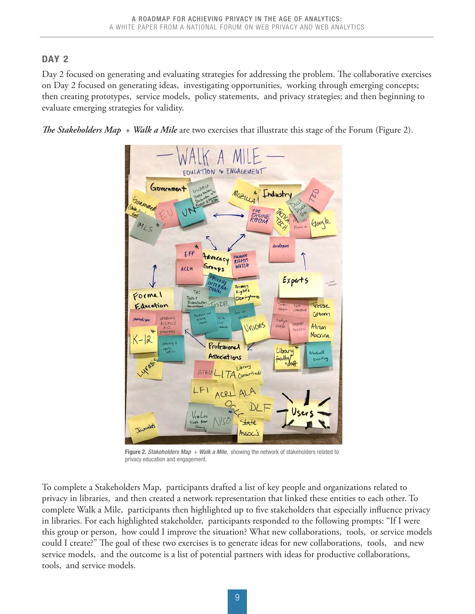# <span id="page-8-0"></span>DAY<sub>2</sub>

Day 2 focused on generating and evaluating strategies for addressing the problem. The collaborative exercises on Day 2 focused on generating ideas, investigating opportunities, working through emerging concepts; then creating prototypes, service models, policy statements, and privacy strategies; and then beginning to evaluate emerging strategies for validity.

*The Stakeholders Map* + *Walk a Mile* are two exercises that illustrate this stage of the Forum (Figure 2).



Figure 2. *Stakeholders Map* + *Walk a Mile*, showing the network of stakeholders related to privacy education and engagement.

To complete a Stakeholders Map, participants drafted a list of key people and organizations related to privacy in libraries, and then created a network representation that linked these entities to each other. To complete Walk a Mile, participants then highlighted up to five stakeholders that especially influence privacy in libraries. For each highlighted stakeholder, participants responded to the following prompts: "If I were this group or person, how could I improve the situation? What new collaborations, tools, or service models could I create?" The goal of these two exercises is to generate ideas for new collaborations, tools, and new service models, and the outcome is a list of potential partners with ideas for productive collaborations, tools, and service models.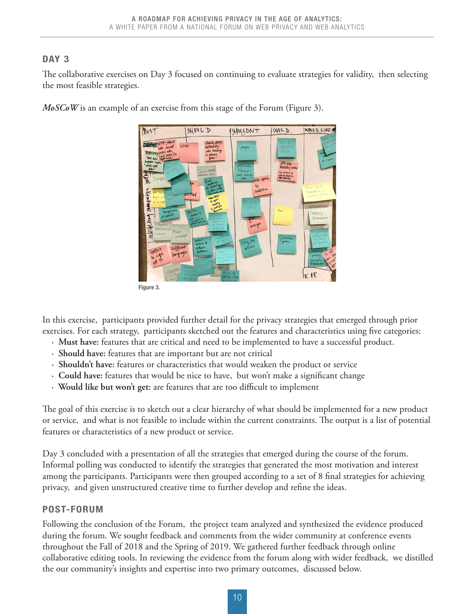### <span id="page-9-0"></span>DAY<sub>3</sub>

The collaborative exercises on Day 3 focused on continuing to evaluate strategies for validity, then selecting the most feasible strategies.

> $5404LD$ COULD WOULD LIKE- $Mv5T$ ISHOULDNT to

*MoSCoW* is an example of an exercise from this stage of the Forum (Figure 3).

In this exercise, participants provided further detail for the privacy strategies that emerged through prior exercises. For each strategy, participants sketched out the features and characteristics using five categories:

- **· Must have:** features that are critical and need to be implemented to have a successful product.
- **· Should have:** features that are important but are not critical
- **· Shouldn't have:** features or characteristics that would weaken the product or service
- **· Could have:** features that would be nice to have, but won't make a significant change
- **· Would like but won't get:** are features that are too difficult to implement

The goal of this exercise is to sketch out a clear hierarchy of what should be implemented for a new product or service, and what is not feasible to include within the current constraints. The output is a list of potential features or characteristics of a new product or service.

Day 3 concluded with a presentation of all the strategies that emerged during the course of the forum. Informal polling was conducted to identify the strategies that generated the most motivation and interest among the participants. Participants were then grouped according to a set of 8 final strategies for achieving privacy, and given unstructured creative time to further develop and refine the ideas.

### POST-FORUM

Following the conclusion of the Forum, the project team analyzed and synthesized the evidence produced during the forum. We sought feedback and comments from the wider community at conference events throughout the Fall of 2018 and the Spring of 2019. We gathered further feedback through online collaborative editing tools. In reviewing the evidence from the forum along with wider feedback, we distilled the our community's insights and expertise into two primary outcomes, discussed below.

Figure 3.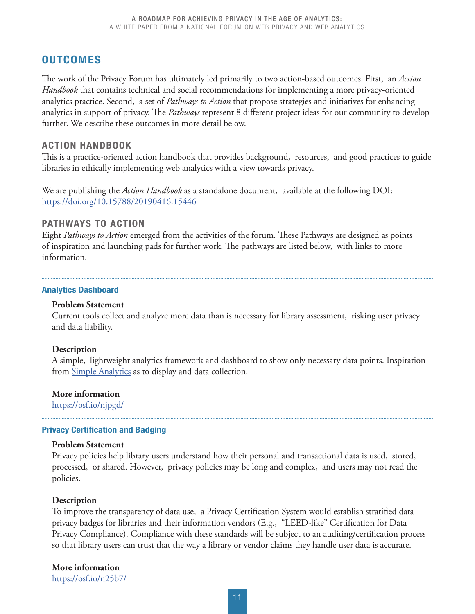### <span id="page-10-0"></span>**OUTCOMES**

The work of the Privacy Forum has ultimately led primarily to two action-based outcomes. First, an *Action Handbook* that contains technical and social recommendations for implementing a more privacy-oriented analytics practice. Second, a set of *Pathways to Action* that propose strategies and initiatives for enhancing analytics in support of privacy. The *Pathways* represent 8 different project ideas for our community to develop further. We describe these outcomes in more detail below.

#### ACTION HANDBOOK

This is a practice-oriented action handbook that provides background, resources, and good practices to guide libraries in ethically implementing web analytics with a view towards privacy.

We are publishing the *Action Handbook* as a standalone document, available at the following DOI: <https://doi.org/10.15788/20190416.15446>

#### PATHWAYS TO ACTION

Eight *Pathways to Action* emerged from the activities of the forum. These Pathways are designed as points of inspiration and launching pads for further work. The pathways are listed below, with links to more information.

#### Analytics Dashboard

#### **Problem Statement**

 Current tools collect and analyze more data than is necessary for library assessment, risking user privacy and data liability.

#### **Description**

 A simple, lightweight analytics framework and dashboard to show only necessary data points. Inspiration from [Simple Analytics](https://simpleanalytics.io) as to display and data collection.

**More information** <https://osf.io/njpgd/>

#### Privacy Certification and Badging

#### **Problem Statement**

 Privacy policies help library users understand how their personal and transactional data is used, stored, processed, or shared. However, privacy policies may be long and complex, and users may not read the policies.

#### **Description**

To improve the transparency of data use, a Privacy Certification System would establish stratified data privacy badges for libraries and their information vendors (E.g., "LEED-like" Certification for Data Privacy Compliance). Compliance with these standards will be subject to an auditing/certification process so that library users can trust that the way a library or vendor claims they handle user data is accurate.

**More information** <https://osf.io/n25b7/>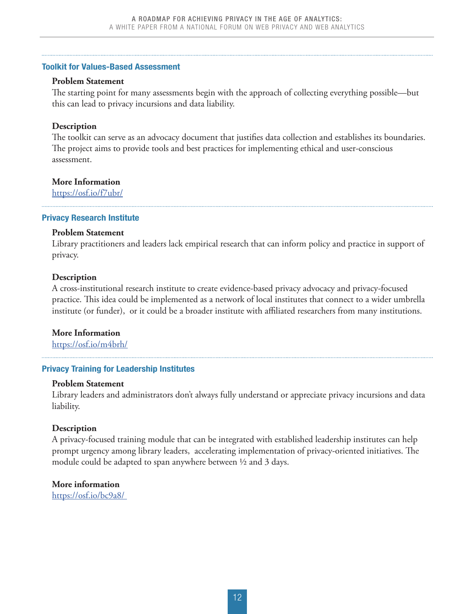#### <span id="page-11-0"></span>Toolkit for Values-Based Assessment

#### **Problem Statement**

The starting point for many assessments begin with the approach of collecting everything possible—but this can lead to privacy incursions and data liability.

#### **Description**

The toolkit can serve as an advocacy document that justifies data collection and establishes its boundaries. The project aims to provide tools and best practices for implementing ethical and user-conscious assessment.

#### **More Information**

<https://osf.io/f7ubr/>

#### Privacy Research Institute

#### **Problem Statement**

Library practitioners and leaders lack empirical research that can inform policy and practice in support of privacy.

#### **Description**

A cross-institutional research institute to create evidence-based privacy advocacy and privacy-focused practice. This idea could be implemented as a network of local institutes that connect to a wider umbrella institute (or funder), or it could be a broader institute with affiliated researchers from many institutions.

#### **More Information**

[https://osf.io/m4brh/](https://osf.io/m4brh/)

#### Privacy Training for Leadership Institutes

#### **Problem Statement**

Library leaders and administrators don't always fully understand or appreciate privacy incursions and data liability.

#### **Description**

A privacy-focused training module that can be integrated with established leadership institutes can help prompt urgency among library leaders, accelerating implementation of privacy-oriented initiatives. The module could be adapted to span anywhere between ½ and 3 days.

 **More information** <https://osf.io/bc9a8/>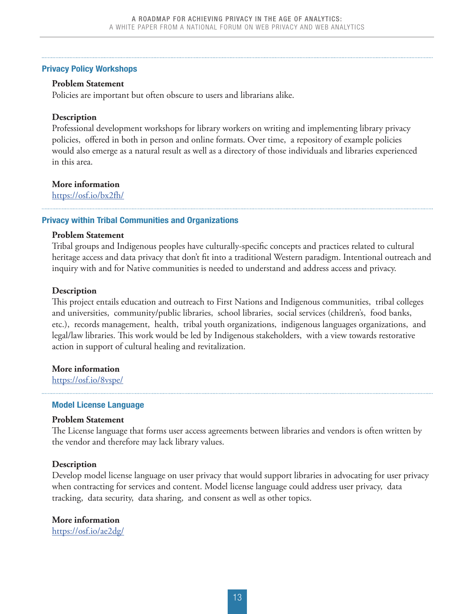#### <span id="page-12-0"></span>Privacy Policy Workshops

#### **Problem Statement**

Policies are important but often obscure to users and librarians alike.

#### **Description**

Professional development workshops for library workers on writing and implementing library privacy policies, offered in both in person and online formats. Over time, a repository of example policies would also emerge as a natural result as well as a directory of those individuals and libraries experienced in this area.

#### **More information**

<https://osf.io/bx2fh/>

#### Privacy within Tribal Communities and Organizations

#### **Problem Statement**

Tribal groups and Indigenous peoples have culturally-specific concepts and practices related to cultural heritage access and data privacy that don't fit into a traditional Western paradigm. Intentional outreach and inquiry with and for Native communities is needed to understand and address access and privacy.

#### **Description**

This project entails education and outreach to First Nations and Indigenous communities, tribal colleges and universities, community/public libraries, school libraries, social services (children's, food banks, etc.), records management, health, tribal youth organizations, indigenous languages organizations, and legal/law libraries. This work would be led by Indigenous stakeholders, with a view towards restorative action in support of cultural healing and revitalization.

#### **More information**

<https://osf.io/8vspe/>

#### Model License Language

#### **Problem Statement**

The License language that forms user access agreements between libraries and vendors is often written by the vendor and therefore may lack library values.

#### **Description**

Develop model license language on user privacy that would support libraries in advocating for user privacy when contracting for services and content. Model license language could address user privacy, data tracking, data security, data sharing, and consent as well as other topics.

#### **More information**

<https://osf.io/ae2dg/>